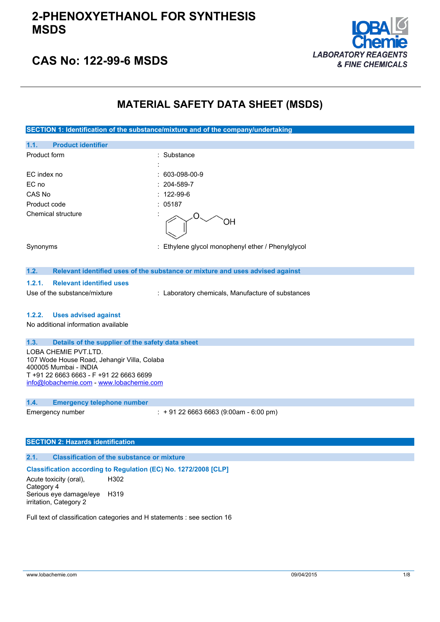

## **CAS No: 122-99-6 MSDS**

## **MATERIAL SAFETY DATA SHEET (MSDS)**

**SECTION 1: Identification of the substance/mixture and of the company/undertaking**

| 1.1.<br><b>Product identifier</b>                                         |                                                                               |
|---------------------------------------------------------------------------|-------------------------------------------------------------------------------|
| Product form                                                              | : Substance                                                                   |
|                                                                           |                                                                               |
| EC index no                                                               | $: 603-098-00-9$                                                              |
| EC no                                                                     | $: 204 - 589 - 7$                                                             |
| CAS No                                                                    | $: 122 - 99 - 6$                                                              |
| Product code                                                              | : 05187                                                                       |
| Chemical structure                                                        |                                                                               |
| Synonyms                                                                  | : Ethylene glycol monophenyl ether / Phenylglycol                             |
| 1.2.                                                                      | Relevant identified uses of the substance or mixture and uses advised against |
| <b>Relevant identified uses</b><br>1.2.1.<br>Use of the substance/mixture | : Laboratory chemicals, Manufacture of substances                             |

#### **1.2.2. Uses advised against**

No additional information available

#### **1.3. Details of the supplier of the safety data sheet**

LOBA CHEMIE PVT.LTD. 107 Wode House Road, Jehangir Villa, Colaba 400005 Mumbai - INDIA T +91 22 6663 6663 - F +91 22 6663 6699 [info@lobachemie.com](mailto:info@lobachemie.com) - <www.lobachemie.com>

### **1.4. Emergency telephone number**

Emergency number : + 91 22 6663 6663 (9:00am - 6:00 pm)

### **SECTION 2: Hazards identification**

### **2.1. Classification of the substance or mixture**

### **Classification according to Regulation (EC) No. 1272/2008 [CLP]**

Acute toxicity (oral), Category 4 H302 Serious eye damage/eye H319 irritation, Category 2

Full text of classification categories and H statements : see section 16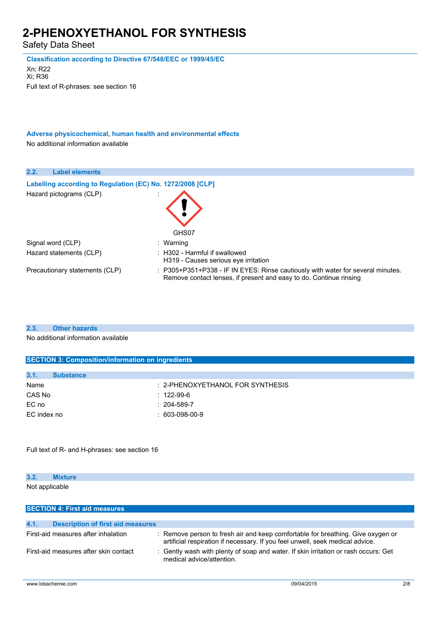Safety Data Sheet

**Classification according to Directive 67/548/EEC or 1999/45/EC**

Xn; R22 Xi; R36 Full text of R-phrases: see section 16

**Adverse physicochemical, human health and environmental effects** No additional information available

| 2.2.<br><b>Label elements</b>                              |                                                                                                                                                       |
|------------------------------------------------------------|-------------------------------------------------------------------------------------------------------------------------------------------------------|
| Labelling according to Regulation (EC) No. 1272/2008 [CLP] |                                                                                                                                                       |
| Hazard pictograms (CLP)                                    | GHS07                                                                                                                                                 |
| Signal word (CLP)                                          | : Warning                                                                                                                                             |
| Hazard statements (CLP)                                    | $\therefore$ H302 - Harmful if swallowed<br>H319 - Causes serious eve irritation                                                                      |
| Precautionary statements (CLP)                             | : P305+P351+P338 - IF IN EYES: Rinse cautiously with water for several minutes.<br>Remove contact lenses, if present and easy to do. Continue rinsing |

### **2.3. Other hazards**

No additional information available

| <b>SECTION 3: Composition/information on ingredients</b> |                                     |  |
|----------------------------------------------------------|-------------------------------------|--|
|                                                          |                                     |  |
| 3.1.<br><b>Substance</b>                                 |                                     |  |
| Name                                                     | $: 2$ -PHENOXYETHANOL FOR SYNTHESIS |  |
| CAS No                                                   | $: 122-99-6$                        |  |
| EC no                                                    | $: 204 - 589 - 7$                   |  |
| EC index no                                              | $: 603-098-00-9$                    |  |
|                                                          |                                     |  |
|                                                          |                                     |  |

Full text of R- and H-phrases: see section 16

### **3.2. Mixture**

Not applicable

| <b>SECTION 4: First aid measures</b>             |                                                                                                                                                                  |  |
|--------------------------------------------------|------------------------------------------------------------------------------------------------------------------------------------------------------------------|--|
|                                                  |                                                                                                                                                                  |  |
| 4.1.<br><b>Description of first aid measures</b> |                                                                                                                                                                  |  |
| First-aid measures after inhalation              | : Remove person to fresh air and keep comfortable for breathing. Give oxygen or<br>artificial respiration if necessary. If you feel unwell, seek medical advice. |  |
| First-aid measures after skin contact            | : Gently wash with plenty of soap and water. If skin irritation or rash occurs: Get<br>medical advice/attention.                                                 |  |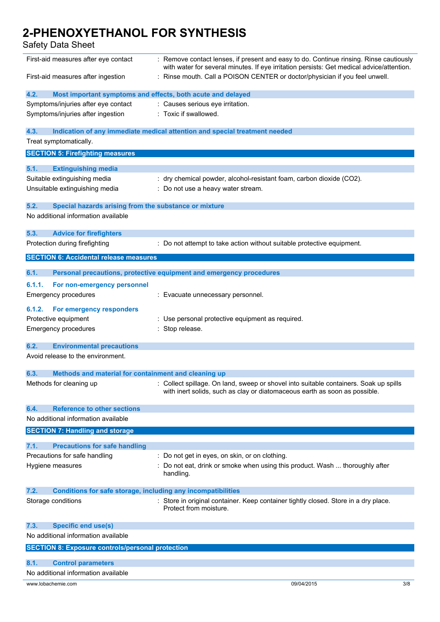| First-aid measures after eye contact                                        | : Remove contact lenses, if present and easy to do. Continue rinsing. Rinse cautiously<br>with water for several minutes. If eye irritation persists: Get medical advice/attention. |  |
|-----------------------------------------------------------------------------|-------------------------------------------------------------------------------------------------------------------------------------------------------------------------------------|--|
| First-aid measures after ingestion                                          | : Rinse mouth. Call a POISON CENTER or doctor/physician if you feel unwell.                                                                                                         |  |
| 4.2.<br>Most important symptoms and effects, both acute and delayed         |                                                                                                                                                                                     |  |
| Symptoms/injuries after eye contact                                         | : Causes serious eye irritation.                                                                                                                                                    |  |
| Symptoms/injuries after ingestion                                           | : Toxic if swallowed.                                                                                                                                                               |  |
| 4.3.                                                                        | Indication of any immediate medical attention and special treatment needed                                                                                                          |  |
| Treat symptomatically.                                                      |                                                                                                                                                                                     |  |
| <b>SECTION 5: Firefighting measures</b>                                     |                                                                                                                                                                                     |  |
| 5.1.<br><b>Extinguishing media</b>                                          |                                                                                                                                                                                     |  |
| Suitable extinguishing media                                                | : dry chemical powder, alcohol-resistant foam, carbon dioxide (CO2).                                                                                                                |  |
| Unsuitable extinguishing media                                              | : Do not use a heavy water stream.                                                                                                                                                  |  |
| 5.2.<br>Special hazards arising from the substance or mixture               |                                                                                                                                                                                     |  |
| No additional information available                                         |                                                                                                                                                                                     |  |
| 5.3.<br><b>Advice for firefighters</b>                                      |                                                                                                                                                                                     |  |
| Protection during firefighting                                              | : Do not attempt to take action without suitable protective equipment.                                                                                                              |  |
| <b>SECTION 6: Accidental release measures</b>                               |                                                                                                                                                                                     |  |
| 6.1.                                                                        | Personal precautions, protective equipment and emergency procedures                                                                                                                 |  |
| 6.1.1.<br>For non-emergency personnel                                       |                                                                                                                                                                                     |  |
| Emergency procedures                                                        | : Evacuate unnecessary personnel.                                                                                                                                                   |  |
| 6.1.2.<br><b>For emergency responders</b>                                   |                                                                                                                                                                                     |  |
| Protective equipment                                                        | : Use personal protective equipment as required.                                                                                                                                    |  |
| <b>Emergency procedures</b>                                                 | : Stop release.                                                                                                                                                                     |  |
| 6.2.<br><b>Environmental precautions</b>                                    |                                                                                                                                                                                     |  |
| Avoid release to the environment.                                           |                                                                                                                                                                                     |  |
| 6.3.<br>Methods and material for containment and cleaning up                |                                                                                                                                                                                     |  |
| Methods for cleaning up                                                     | : Collect spillage. On land, sweep or shovel into suitable containers. Soak up spills<br>with inert solids, such as clay or diatomaceous earth as soon as possible.                 |  |
| <b>Reference to other sections</b><br>6.4.                                  |                                                                                                                                                                                     |  |
| No additional information available                                         |                                                                                                                                                                                     |  |
| <b>SECTION 7: Handling and storage</b>                                      |                                                                                                                                                                                     |  |
| 7.1.<br><b>Precautions for safe handling</b>                                |                                                                                                                                                                                     |  |
| Precautions for safe handling                                               | : Do not get in eyes, on skin, or on clothing.                                                                                                                                      |  |
| Hygiene measures                                                            | Do not eat, drink or smoke when using this product. Wash  thoroughly after<br>handling.                                                                                             |  |
| 7.2.<br><b>Conditions for safe storage, including any incompatibilities</b> |                                                                                                                                                                                     |  |
| Storage conditions                                                          | : Store in original container. Keep container tightly closed. Store in a dry place.<br>Protect from moisture.                                                                       |  |
| 7.3.<br><b>Specific end use(s)</b>                                          |                                                                                                                                                                                     |  |
| No additional information available                                         |                                                                                                                                                                                     |  |
| <b>SECTION 8: Exposure controls/personal protection</b>                     |                                                                                                                                                                                     |  |
| 8.1.<br><b>Control parameters</b>                                           |                                                                                                                                                                                     |  |
| No additional information available                                         |                                                                                                                                                                                     |  |
| www.lobachemie.com                                                          | 09/04/2015<br>3/8                                                                                                                                                                   |  |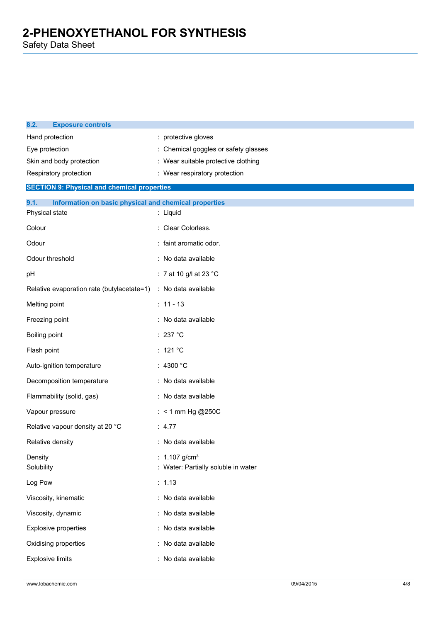| 8.2.<br><b>Exposure controls</b>                              |                                                       |
|---------------------------------------------------------------|-------------------------------------------------------|
| Hand protection                                               | : protective gloves                                   |
| Eye protection                                                | : Chemical goggles or safety glasses                  |
| Skin and body protection                                      | : Wear suitable protective clothing                   |
| Respiratory protection                                        | : Wear respiratory protection                         |
| <b>SECTION 9: Physical and chemical properties</b>            |                                                       |
| 9.1.<br>Information on basic physical and chemical properties |                                                       |
| Physical state                                                | : Liquid                                              |
| Colour                                                        | : Clear Colorless.                                    |
| Odour                                                         | : faint aromatic odor.                                |
| Odour threshold                                               | : No data available                                   |
| pH                                                            | : 7 at 10 g/l at 23 °C                                |
| Relative evaporation rate (butylacetate=1)                    | : No data available                                   |
| Melting point                                                 | $: 11 - 13$                                           |
| Freezing point                                                | : No data available                                   |
| Boiling point                                                 | : 237 °C                                              |
| Flash point                                                   | : 121 $^{\circ}$ C                                    |
| Auto-ignition temperature                                     | : 4300 $^{\circ}$ C                                   |
| Decomposition temperature                                     | : No data available                                   |
| Flammability (solid, gas)                                     | : No data available                                   |
| Vapour pressure                                               | : < 1 mm Hg @250C                                     |
| Relative vapour density at 20 °C                              | : $4.77$                                              |
| Relative density                                              | : No data available                                   |
| Density<br>Solubility                                         | 1.107 $g/cm^{3}$<br>Water: Partially soluble in water |
| Log Pow                                                       | : 1.13                                                |
| Viscosity, kinematic                                          | : No data available                                   |
| Viscosity, dynamic                                            | : No data available                                   |
| Explosive properties                                          | : No data available                                   |
| Oxidising properties                                          | No data available<br>$\ddot{\phantom{a}}$             |
| <b>Explosive limits</b>                                       | No data available                                     |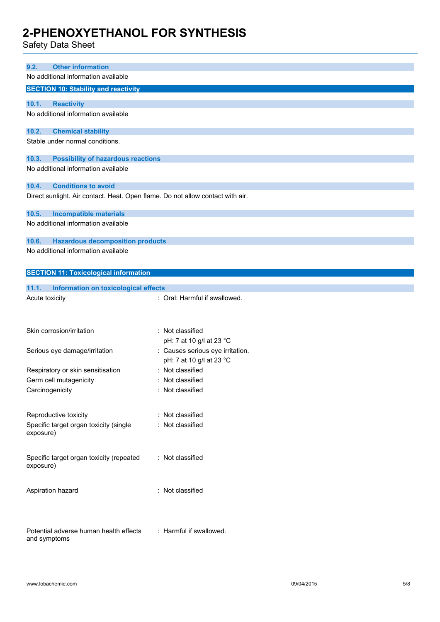| <b>Other information</b><br>9.2.                                               |                                              |
|--------------------------------------------------------------------------------|----------------------------------------------|
| No additional information available                                            |                                              |
|                                                                                |                                              |
| <b>SECTION 10: Stability and reactivity</b>                                    |                                              |
| 10.1.<br><b>Reactivity</b>                                                     |                                              |
| No additional information available                                            |                                              |
| 10.2.<br><b>Chemical stability</b>                                             |                                              |
| Stable under normal conditions.                                                |                                              |
|                                                                                |                                              |
| <b>Possibility of hazardous reactions</b><br>10.3.                             |                                              |
| No additional information available                                            |                                              |
| 10.4.<br><b>Conditions to avoid</b>                                            |                                              |
| Direct sunlight. Air contact. Heat. Open flame. Do not allow contact with air. |                                              |
|                                                                                |                                              |
| 10.5.<br><b>Incompatible materials</b><br>No additional information available  |                                              |
|                                                                                |                                              |
| 10.6.<br><b>Hazardous decomposition products</b>                               |                                              |
| No additional information available                                            |                                              |
|                                                                                |                                              |
| <b>SECTION 11: Toxicological information</b>                                   |                                              |
| 11.1.<br>Information on toxicological effects                                  |                                              |
| Acute toxicity                                                                 | : Oral: Harmful if swallowed.                |
|                                                                                |                                              |
|                                                                                |                                              |
| Skin corrosion/irritation                                                      | : Not classified                             |
|                                                                                | pH: 7 at 10 g/l at 23 °C                     |
| Serious eye damage/irritation                                                  | : Causes serious eye irritation.             |
| Respiratory or skin sensitisation                                              | pH: 7 at 10 g/l at 23 °C<br>: Not classified |
| Germ cell mutagenicity                                                         | Not classified                               |
| Carcinogenicity                                                                | : Not classified                             |
|                                                                                |                                              |
| Reproductive toxicity                                                          | : Not classified                             |
| Specific target organ toxicity (single                                         | : Not classified                             |
| exposure)                                                                      |                                              |
|                                                                                |                                              |
| Specific target organ toxicity (repeated                                       | : Not classified                             |
| exposure)                                                                      |                                              |
|                                                                                |                                              |
| Aspiration hazard                                                              | : Not classified                             |
|                                                                                |                                              |
|                                                                                |                                              |
|                                                                                |                                              |
| Potential adverse human health effects                                         | : Harmful if swallowed.                      |
| and symptoms                                                                   |                                              |
|                                                                                |                                              |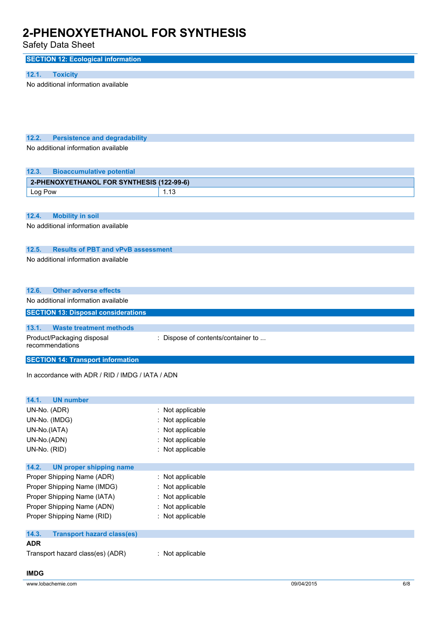| <b>SECTION 12: Ecological information</b>                                                    |                                    |  |
|----------------------------------------------------------------------------------------------|------------------------------------|--|
|                                                                                              |                                    |  |
| 12.1.<br><b>Toxicity</b>                                                                     |                                    |  |
| No additional information available                                                          |                                    |  |
| 12.2.<br><b>Persistence and degradability</b>                                                |                                    |  |
| No additional information available                                                          |                                    |  |
| <b>Bioaccumulative potential</b><br>12.3.                                                    |                                    |  |
| 2-PHENOXYETHANOL FOR SYNTHESIS (122-99-6)                                                    |                                    |  |
| Log Pow                                                                                      | 1.13                               |  |
|                                                                                              |                                    |  |
| 12.4.<br><b>Mobility in soil</b>                                                             |                                    |  |
| No additional information available                                                          |                                    |  |
| 12.5.<br><b>Results of PBT and vPvB assessment</b><br>No additional information available    |                                    |  |
| 12.6.<br><b>Other adverse effects</b>                                                        |                                    |  |
| No additional information available                                                          |                                    |  |
| <b>SECTION 13: Disposal considerations</b>                                                   |                                    |  |
|                                                                                              |                                    |  |
|                                                                                              |                                    |  |
| <b>Waste treatment methods</b><br>13.1.<br>Product/Packaging disposal<br>recommendations     | : Dispose of contents/container to |  |
|                                                                                              |                                    |  |
| <b>SECTION 14: Transport information</b><br>In accordance with ADR / RID / IMDG / IATA / ADN |                                    |  |
| 14.1.<br><b>UN number</b>                                                                    |                                    |  |
| UN-No. (ADR)                                                                                 | : Not applicable                   |  |
| UN-No. (IMDG)                                                                                | : Not applicable                   |  |
| UN-No.(IATA)                                                                                 | Not applicable                     |  |
| UN-No.(ADN)                                                                                  | Not applicable                     |  |
| UN-No. (RID)                                                                                 | : Not applicable                   |  |
|                                                                                              |                                    |  |
| 14.2.<br><b>UN proper shipping name</b>                                                      |                                    |  |
| Proper Shipping Name (ADR)                                                                   | : Not applicable                   |  |
| Proper Shipping Name (IMDG)                                                                  | : Not applicable                   |  |
| Proper Shipping Name (IATA)<br>Proper Shipping Name (ADN)                                    | Not applicable<br>Not applicable   |  |
| Proper Shipping Name (RID)                                                                   | : Not applicable                   |  |
| 14.3.<br><b>Transport hazard class(es)</b>                                                   |                                    |  |
| <b>ADR</b><br>Transport hazard class(es) (ADR)                                               | : Not applicable                   |  |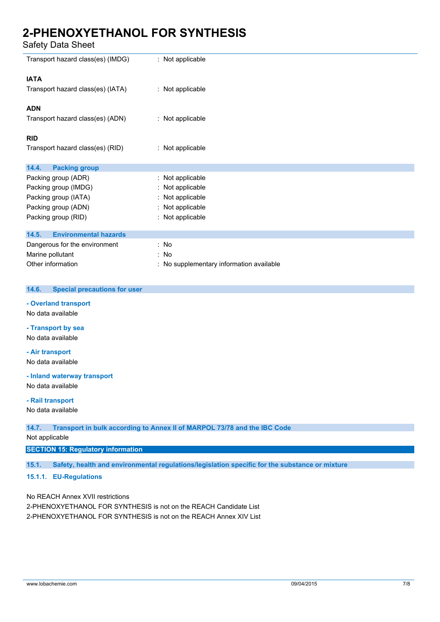Safety Data Sheet

| Transport hazard class(es) (IMDG)     | : Not applicable                         |
|---------------------------------------|------------------------------------------|
| <b>IATA</b>                           |                                          |
| Transport hazard class(es) (IATA)     | : Not applicable                         |
| <b>ADN</b>                            |                                          |
| Transport hazard class(es) (ADN)      | : Not applicable                         |
| <b>RID</b>                            |                                          |
| Transport hazard class(es) (RID)      | : Not applicable                         |
| 14.4.<br><b>Packing group</b>         |                                          |
| Packing group (ADR)                   | : Not applicable                         |
| Packing group (IMDG)                  | : Not applicable                         |
| Packing group (IATA)                  | : Not applicable                         |
| Packing group (ADN)                   | : Not applicable                         |
| Packing group (RID)                   | : Not applicable                         |
| <b>Environmental hazards</b><br>14.5. |                                          |
| Dangerous for the environment         | : No                                     |
|                                       |                                          |
| Marine pollutant                      | : No                                     |
| Other information                     | : No supplementary information available |

#### **14.6. Special precautions for user**

**- Overland transport** No data available

**- Transport by sea**

No data available

**- Air transport**

No data available

**- Inland waterway transport** No data available

**- Rail transport**

No data available

**14.7. Transport in bulk according to Annex II of MARPOL 73/78 and the IBC Code**

Not applicable

### **SECTION 15: Regulatory information**

**15.1. Safety, health and environmental regulations/legislation specific for the substance or mixture**

### **15.1.1. EU-Regulations**

No REACH Annex XVII restrictions

2-PHENOXYETHANOL FOR SYNTHESIS is not on the REACH Candidate List 2-PHENOXYETHANOL FOR SYNTHESIS is not on the REACH Annex XIV List